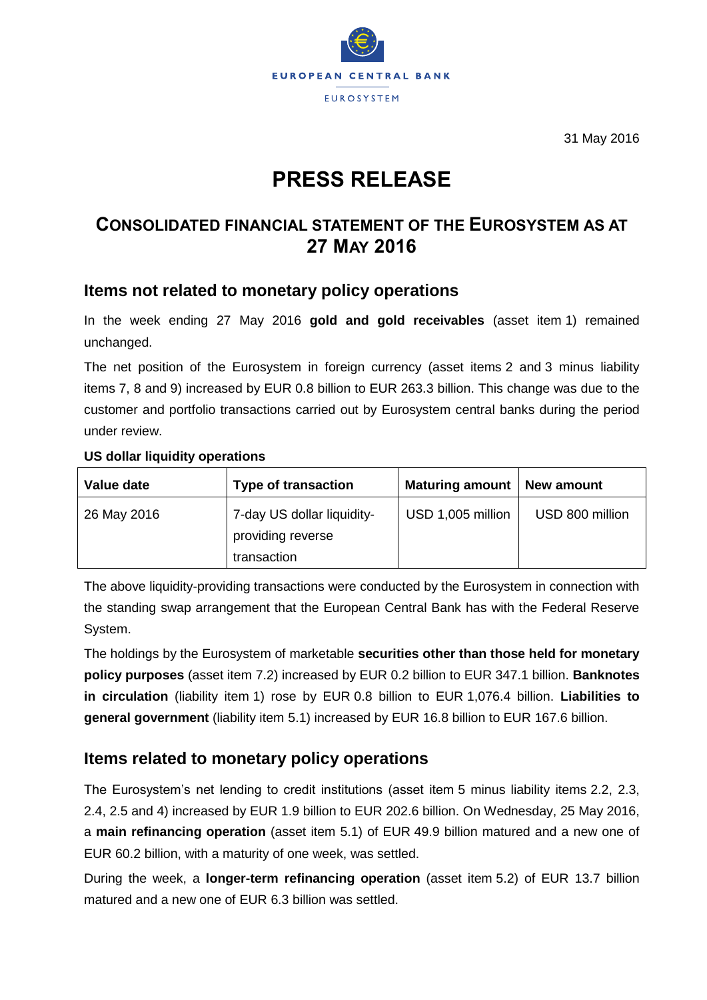

31 May 2016

# **PRESS RELEASE**

## **CONSOLIDATED FINANCIAL STATEMENT OF THE EUROSYSTEM AS AT 27 MAY 2016**

## **Items not related to monetary policy operations**

In the week ending 27 May 2016 **gold and gold receivables** (asset item 1) remained unchanged.

The net position of the Eurosystem in foreign currency (asset items 2 and 3 minus liability items 7, 8 and 9) increased by EUR 0.8 billion to EUR 263.3 billion. This change was due to the customer and portfolio transactions carried out by Eurosystem central banks during the period under review.

#### **US dollar liquidity operations**

| Value date  | <b>Type of transaction</b>                                     | <b>Maturing amount</b> | New amount      |
|-------------|----------------------------------------------------------------|------------------------|-----------------|
| 26 May 2016 | 7-day US dollar liquidity-<br>providing reverse<br>transaction | USD 1,005 million      | USD 800 million |

The above liquidity-providing transactions were conducted by the Eurosystem in connection with the standing swap arrangement that the European Central Bank has with the Federal Reserve System.

The holdings by the Eurosystem of marketable **securities other than those held for monetary policy purposes** (asset item 7.2) increased by EUR 0.2 billion to EUR 347.1 billion. **Banknotes in circulation** (liability item 1) rose by EUR 0.8 billion to EUR 1,076.4 billion. **Liabilities to general government** (liability item 5.1) increased by EUR 16.8 billion to EUR 167.6 billion.

## **Items related to monetary policy operations**

The Eurosystem's net lending to credit institutions (asset item 5 minus liability items 2.2, 2.3, 2.4, 2.5 and 4) increased by EUR 1.9 billion to EUR 202.6 billion. On Wednesday, 25 May 2016, a **main refinancing operation** (asset item 5.1) of EUR 49.9 billion matured and a new one of EUR 60.2 billion, with a maturity of one week, was settled.

During the week, a **longer-term refinancing operation** (asset item 5.2) of EUR 13.7 billion matured and a new one of EUR 6.3 billion was settled.